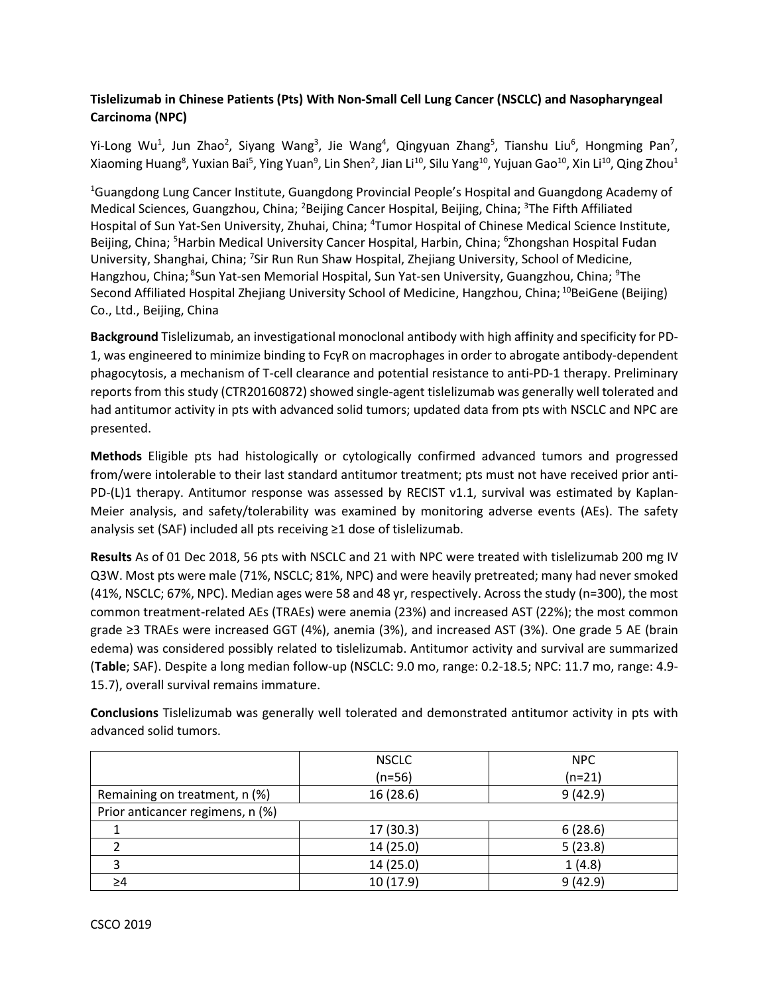## **Tislelizumab in Chinese Patients (Pts) With Non-Small Cell Lung Cancer (NSCLC) and Nasopharyngeal Carcinoma (NPC)**

Yi-Long Wu<sup>1</sup>, Jun Zhao<sup>2</sup>, Siyang Wang<sup>3</sup>, Jie Wang<sup>4</sup>, Qingyuan Zhang<sup>5</sup>, Tianshu Liu<sup>6</sup>, Hongming Pan<sup>7</sup>, Xiaoming Huang<sup>8</sup>, Yuxian Bai<sup>5</sup>, Ying Yuan<sup>9</sup>, Lin Shen<sup>2</sup>, Jian Li<sup>10</sup>, Silu Yang<sup>10</sup>, Yujuan Gao<sup>10</sup>, Xin Li<sup>10</sup>, Qing Zhou<sup>1</sup>

<sup>1</sup>Guangdong Lung Cancer Institute, Guangdong Provincial People's Hospital and Guangdong Academy of Medical Sciences, Guangzhou, China; <sup>2</sup>Beijing Cancer Hospital, Beijing, China; <sup>3</sup>The Fifth Affiliated Hospital of Sun Yat-Sen University, Zhuhai, China; <sup>4</sup>Tumor Hospital of Chinese Medical Science Institute, Beijing, China; <sup>5</sup>Harbin Medical University Cancer Hospital, Harbin, China; <sup>6</sup>Zhongshan Hospital Fudan University, Shanghai, China; <sup>7</sup>Sir Run Run Shaw Hospital, Zhejiang University, School of Medicine, Hangzhou, China; <sup>8</sup>Sun Yat-sen Memorial Hospital, Sun Yat-sen University, Guangzhou, China; <sup>9</sup>The Second Affiliated Hospital Zhejiang University School of Medicine, Hangzhou, China; <sup>10</sup>BeiGene (Beijing) Co., Ltd., Beijing, China

**Background** Tislelizumab, an investigational monoclonal antibody with high affinity and specificity for PD-1, was engineered to minimize binding to FcγR on macrophages in order to abrogate antibody-dependent phagocytosis, a mechanism of T-cell clearance and potential resistance to anti-PD-1 therapy. Preliminary reports from this study (CTR20160872) showed single-agent tislelizumab was generally well tolerated and had antitumor activity in pts with advanced solid tumors; updated data from pts with NSCLC and NPC are presented.

**Methods** Eligible pts had histologically or cytologically confirmed advanced tumors and progressed from/were intolerable to their last standard antitumor treatment; pts must not have received prior anti-PD-(L)1 therapy. Antitumor response was assessed by RECIST v1.1, survival was estimated by Kaplan-Meier analysis, and safety/tolerability was examined by monitoring adverse events (AEs). The safety analysis set (SAF) included all pts receiving ≥1 dose of tislelizumab.

**Results** As of 01 Dec 2018, 56 pts with NSCLC and 21 with NPC were treated with tislelizumab 200 mg IV Q3W. Most pts were male (71%, NSCLC; 81%, NPC) and were heavily pretreated; many had never smoked (41%, NSCLC; 67%, NPC). Median ages were 58 and 48 yr, respectively. Across the study (n=300), the most common treatment-related AEs (TRAEs) were anemia (23%) and increased AST (22%); the most common grade ≥3 TRAEs were increased GGT (4%), anemia (3%), and increased AST (3%). One grade 5 AE (brain edema) was considered possibly related to tislelizumab. Antitumor activity and survival are summarized (**Table**; SAF). Despite a long median follow-up (NSCLC: 9.0 mo, range: 0.2-18.5; NPC: 11.7 mo, range: 4.9- 15.7), overall survival remains immature.

| advanced solid tumors.                                                                                |
|-------------------------------------------------------------------------------------------------------|
| Conclusions Tislelizumab was generally well tolerated and demonstrated antitumor activity in pts with |
|                                                                                                       |
|                                                                                                       |

|                                  | <b>NSCLC</b> | <b>NPC</b> |  |
|----------------------------------|--------------|------------|--|
|                                  | $(n=56)$     | $(n=21)$   |  |
| Remaining on treatment, n (%)    | 16(28.6)     | 9(42.9)    |  |
| Prior anticancer regimens, n (%) |              |            |  |
|                                  | 17(30.3)     | 6(28.6)    |  |
|                                  | 14(25.0)     | 5(23.8)    |  |
|                                  | 14(25.0)     | 1(4.8)     |  |
|                                  | 10(17.9)     | 9(42.9)    |  |